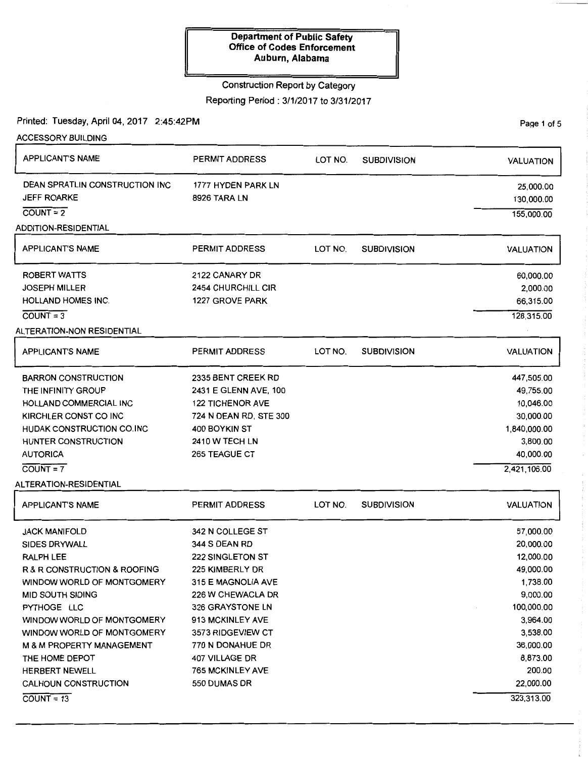#### Construction Report by Category

Reporting Period: 3/1/2017 to 3/31/2017

Printed: Tuesday, April 04, 2017 2:45:42PM

ACCESSORY BUILDING APPLICANT'S NAME DEAN SPRATLIN CONSTRUCTION INC JEFF ROARKE  $COUNT = 2$ **ADDITION-RESIDENTIAL** APPLICANT'S NAME ROBERT WATTS JOSEPH MILLER HOLLAND HOMES INC.  $COUNT = 3$ ALTERATION-NON RESIDENTIAL APPLICANT'S NAME BARRON CONSTRUCTION THE INFINITY GROUP HOLLAND COMMERCIAL INC KIRCHLER CONST CO INC HUDAK CONSTRUCTION CO. INC HUNTER CONSTRUCTION AUTORICA  $COUNT = 7$ ALTERATION-RESIDENTIAL APPLICANT'S NAME JACK MANIFOLD SIDES DRYWALL RALPH LEE R & R CONSTRUCTION & ROOFING WINDOW WORLD OF MONTGOMERY MID SOUTH SIDING PYTHOGE LLC WINDOW WORLD OF MONTGOMERY WINDOW WORLD OF MONTGOMERY M & M PROPERTY MANAGEMENT THE HOME DEPOT HERBERT NEWELL CALHOUN CONSTRUCTION  $COUNT = 13$ PERMIT ADDRESS 1777 HYDEN PARK LN 8926 TARA LN PERMIT ADDRESS 2122 CANARY DR 2454 CHURCHILL CIR 1227 GROVE PARK PERMIT ADDRESS 2335 BENT CREEK RD 2431 E GLENN AVE, 100 122 TICHENOR AVE 724 N DEAN RD, STE 300 400 BOYKIN ST 2410 W TECH LN 265 TEAGUE CT PERMIT ADDRESS 342 N COLLEGE ST 344 S DEAN RD 222 SINGLETON ST 225 KIMBERLY DR 315 E MAGNOLIA AVE 226 W CHEWACLA DR 326 GRAYSTONE LN 913 MCKINLEY AVE 3573 RIDGEVIEW CT 770 N DONAHUE DR 407 VILLAGE DR 765 MCKINLEY AVE 550 DUMAS DR LOT NO. SUBDIVISION LOT NO. SUBDIVISION LOT NO. SUBDIVISION LOT NO. SUBDIVISION VALUATION 25,000.00 130,000.00 155,000.00 VALUATION 60,000.00 2,000.00 66,315.00 128,315.00 VALUATION 447,505.00 49,755.00 10,046.00 30,000.00 1 ,840,000.00 3,800.00 40,000.00 2,421,106.00 VALUATION 57,000.00 20,000.00 12,000.00 49,000.00 1,738.00 9,000.00 100,000.00 3,964.00 3,538.00 36,000.00 8,873.00 200.00 22,000.00 323,313.00

Page 1 of 5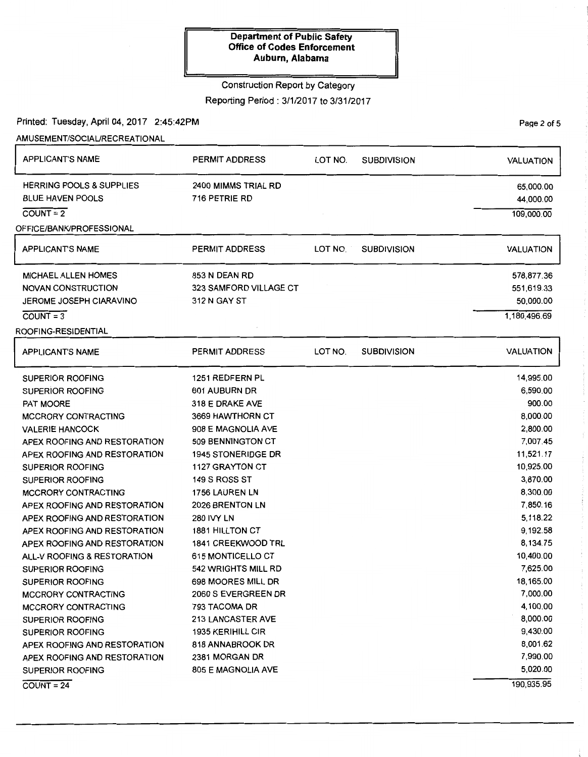## Construction Report by Category

Reporting Period: 3/1/2017 to 3/31/2017

Printed: Tuesday, April 04, 2017 2:45:42PM

AMUSEMENT/SOCIAURECREATIONAL

| <b>HERRING POOLS &amp; SUPPLIES</b><br>2400 MIMMS TRIAL RD<br><b>BLUE HAVEN POOLS</b><br>716 PETRIE RD<br>OFFICE/BANK/PROFESSIONAL<br><b>APPLICANT'S NAME</b><br><b>PERMIT ADDRESS</b><br>LOT NO.<br><b>SUBDIVISION</b><br>853 N DEAN RD<br><b>MICHAEL ALLEN HOMES</b><br>323 SAMFORD VILLAGE CT<br><b>NOVAN CONSTRUCTION</b> | 65,000.00<br>44,000.00<br>109,000.00<br><b>VALUATION</b><br>578,877.36<br>551,619.33 |
|-------------------------------------------------------------------------------------------------------------------------------------------------------------------------------------------------------------------------------------------------------------------------------------------------------------------------------|--------------------------------------------------------------------------------------|
|                                                                                                                                                                                                                                                                                                                               |                                                                                      |
|                                                                                                                                                                                                                                                                                                                               |                                                                                      |
|                                                                                                                                                                                                                                                                                                                               |                                                                                      |
|                                                                                                                                                                                                                                                                                                                               |                                                                                      |
|                                                                                                                                                                                                                                                                                                                               |                                                                                      |
|                                                                                                                                                                                                                                                                                                                               |                                                                                      |
|                                                                                                                                                                                                                                                                                                                               |                                                                                      |
| 312 N GAY ST<br><b>JEROME JOSEPH CIARAVINO</b>                                                                                                                                                                                                                                                                                | 50,000.00                                                                            |
|                                                                                                                                                                                                                                                                                                                               | 1,180,496.69                                                                         |
| ROOFING-RESIDENTIAL                                                                                                                                                                                                                                                                                                           |                                                                                      |
| PERMIT ADDRESS<br>LOT NO.<br><b>SUBDIVISION</b><br><b>APPLICANT'S NAME</b>                                                                                                                                                                                                                                                    | <b>VALUATION</b>                                                                     |
| 1251 REDFERN PL<br><b>SUPERIOR ROOFING</b>                                                                                                                                                                                                                                                                                    | 14,995.00                                                                            |
| 601 AUBURN DR<br><b>SUPERIOR ROOFING</b>                                                                                                                                                                                                                                                                                      | 6,590.00                                                                             |
| 318 E DRAKE AVE                                                                                                                                                                                                                                                                                                               | 900.00                                                                               |
| 3669 HAWTHORN CT<br><b>MCCRORY CONTRACTING</b>                                                                                                                                                                                                                                                                                | 8,000.00                                                                             |
| 908 E MAGNOLIA AVE<br><b>VALERIE HANCOCK</b>                                                                                                                                                                                                                                                                                  | 2,800.00                                                                             |
| 509 BENNINGTON CT<br>APEX ROOFING AND RESTORATION                                                                                                                                                                                                                                                                             | 7,007.45                                                                             |
| APEX ROOFING AND RESTORATION<br><b>1945 STONERIDGE DR</b>                                                                                                                                                                                                                                                                     | 11,521.17                                                                            |
| 1127 GRAYTON CT<br>SUPERIOR ROOFING                                                                                                                                                                                                                                                                                           | 10,925.00                                                                            |
|                                                                                                                                                                                                                                                                                                                               |                                                                                      |

| <b>SUPERIOR ROOFING</b>      | 1251 REDFERN PL           | 14,995.00 |
|------------------------------|---------------------------|-----------|
| <b>SUPERIOR ROOFING</b>      | 601 AUBURN DR             | 6,590.00  |
| <b>PAT MOORE</b>             | 318 E DRAKE AVE           | 900.00    |
| <b>MCCRORY CONTRACTING</b>   | 3669 HAWTHORN CT          | 8,000.00  |
| <b>VALERIE HANCOCK</b>       | 908 E MAGNOLIA AVE        | 2,800.00  |
| APEX ROOFING AND RESTORATION | 509 BENNINGTON CT         | 7,007.45  |
| APEX ROOFING AND RESTORATION | <b>1945 STONERIDGE DR</b> | 11,521.17 |
| <b>SUPERIOR ROOFING</b>      | <b>1127 GRAYTON CT</b>    | 10,925.00 |
| <b>SUPERIOR ROOFING</b>      | 149 S ROSS ST             | 3,870.00  |
| <b>MCCRORY CONTRACTING</b>   | 1756 LAUREN LN            | 8.300.00  |
| APEX ROOFING AND RESTORATION | 2026 BRENTON LN           | 7,850.16  |
| APEX ROOFING AND RESTORATION | <b>280 IVY LN</b>         | 5,118.22  |
| APEX ROOFING AND RESTORATION | <b>1881 HILLTON CT</b>    | 9,192.58  |
| APEX ROOFING AND RESTORATION | <b>1841 CREEKWOOD TRL</b> | 8,134.75  |
| ALL-V ROOFING & RESTORATION  | 615 MONTICELLO CT         | 10,400.00 |
| <b>SUPERIOR ROOFING</b>      | 542 WRIGHTS MILL RD       | 7,625.00  |
| <b>SUPERIOR ROOFING</b>      | 698 MOORES MILL DR        | 18,165.00 |
| <b>MCCRORY CONTRACTING</b>   | 2060 S EVERGREEN DR       | 7,000.00  |
| <b>MCCRORY CONTRACTING</b>   | 793 TACOMA DR             | 4,100.00  |
| <b>SUPERIOR ROOFING</b>      | <b>213 LANCASTER AVE</b>  | 8,000.00  |
| SUPERIOR ROOFING             | <b>1935 KERIHILL CIR</b>  | 9,430.00  |
| APEX ROOFING AND RESTORATION | 818 ANNABROOK DR          | 8,001.62  |
| APEX ROOFING AND RESTORATION | 2381 MORGAN DR            | 7,990.00  |
| <b>SUPERIOR ROOFING</b>      | <b>805 E MAGNOLIA AVE</b> | 5,020.00  |
|                              |                           |           |

 $COUNT = 24$ 

Page 2 of 5

190,935.95

 $\frac{1}{2}$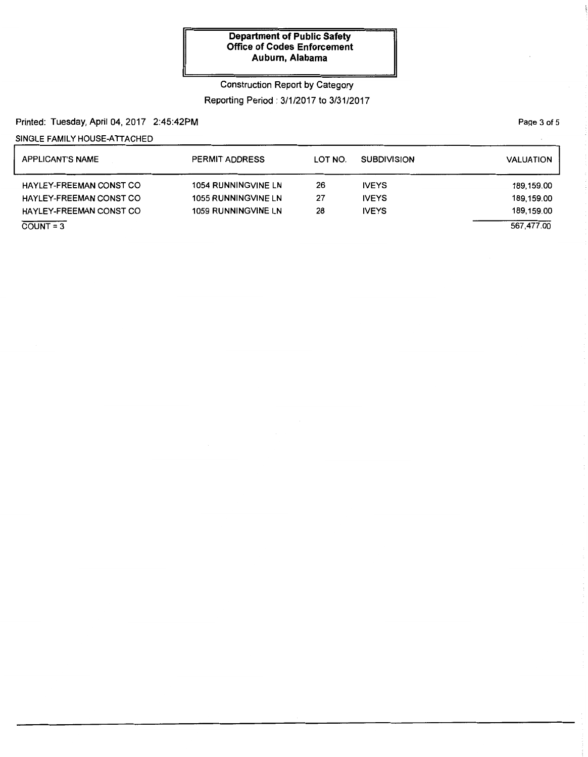### Construction Report by Category

## Reporting Period: 3/1/2017 to 3/31/2017

## Printed: Tuesday, April 04, 2017 2:45:42PM

## SINGLE FAMILY HOUSE-ATTACHED

| <b>APPLICANT'S NAME</b>        | <b>PERMIT ADDRESS</b>      | LOT NO. | <b>SUBDIVISION</b> | <b>VALUATION</b> |
|--------------------------------|----------------------------|---------|--------------------|------------------|
| <b>HAYLEY-FREEMAN CONST CO</b> | <b>1054 RUNNINGVINE LN</b> | 26      | <b>IVEYS</b>       | 189,159.00       |
| <b>HAYLEY-FREEMAN CONST CO</b> | <b>1055 RUNNINGVINE LN</b> | 27      | <b>IVEYS</b>       | 189,159.00       |
| HAYLEY-FREEMAN CONST CO        | <b>1059 RUNNINGVINE LN</b> | 28      | <b>IVEYS</b>       | 189,159.00       |
| $\overline{COUNT} = 3$         |                            |         |                    | 567,477.00       |

Page 3 of 5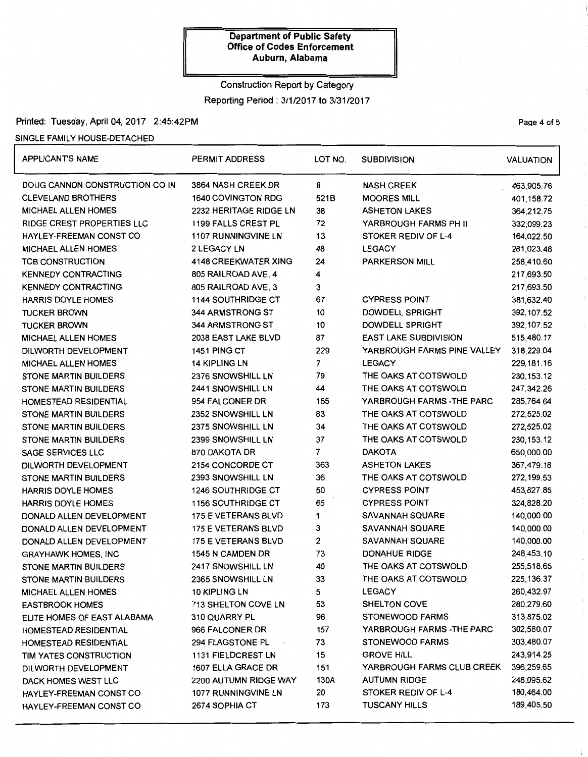## Construction Report by Category

Reporting Period: 3/1/2017 to 3/31/2017

## Printed: Tuesday, April 04, 2017 2:45:42PM **Page 4 of 5** and 2017 12:45:42PM

### SINGLE FAMILY HOUSE-DETACHED

| <b>APPLICANTS NAME</b>         | PERMIT ADDRESS             | LOT NO.        | <b>SUBDIVISION</b>           | <b>VALUATION</b> |
|--------------------------------|----------------------------|----------------|------------------------------|------------------|
| DOUG CANNON CONSTRUCTION CO IN | 3864 NASH CREEK DR         | 8              | <b>NASH CREEK</b>            | 463,905.76       |
| <b>CLEVELAND BROTHERS</b>      | 1640 COVINGTON RDG         | 521B           | <b>MOORES MILL</b>           | 401,158.72       |
| <b>MICHAEL ALLEN HOMES</b>     | 2232 HERITAGE RIDGE LN     | 38             | <b>ASHETON LAKES</b>         | 364,212.75       |
| RIDGE CREST PROPERTIES LLC     | 1199 FALLS CREST PL        | 72             | YARBROUGH FARMS PH II        | 332,099.23       |
| HAYLEY-FREEMAN CONST CO        | <b>1107 RUNNINGVINE LN</b> | 13             | STOKER REDIV OF L-4          | 164,022.50       |
| <b>MICHAEL ALLEN HOMES</b>     | 2 LEGACY LN                | 48             | <b>LEGACY</b>                | 281,023.48       |
| <b>TCB CONSTRUCTION</b>        | 4148 CREEKWATER XING       | 24             | <b>PARKERSON MILL</b>        | 258,410.60       |
| <b>KENNEDY CONTRACTING</b>     | 805 RAILROAD AVE, 4        | 4              |                              | 217,693.50       |
| <b>KENNEDY CONTRACTING</b>     | 805 RAILROAD AVE, 3        | 3              |                              | 217,693.50       |
| <b>HARRIS DOYLE HOMES</b>      | <b>1144 SOUTHRIDGE CT</b>  | 67             | <b>CYPRESS POINT</b>         | 381,632.40       |
| <b>TUCKER BROWN</b>            | 344 ARMSTRONG ST           | 10             | DOWDELL SPRIGHT              | 392, 107.52      |
| <b>TUCKER BROWN</b>            | 344 ARMSTRONG ST           | 10             | DOWDELL SPRIGHT              | 392, 107.52      |
| <b>MICHAEL ALLEN HOMES</b>     | 2038 EAST LAKE BLVD        | 87             | <b>EAST LAKE SUBDIVISION</b> | 515,480.17       |
| DILWORTH DEVELOPMENT           | <b>1451 PING CT</b>        | 229            | YARBROUGH FARMS PINE VALLEY  | 318,229.04       |
| <b>MICHAEL ALLEN HOMES</b>     | <b>14 KIPLING LN</b>       | $\overline{7}$ | <b>LEGACY</b>                | 229,181.16       |
| STONE MARTIN BUILDERS          | 2376 SNOWSHILL LN          | 79             | THE OAKS AT COTSWOLD         | 230, 153. 12     |
| <b>STONE MARTIN BUILDERS</b>   | 2441 SNOWSHILL LN          | 44             | THE OAKS AT COTSWOLD         | 247,342.26       |
| HOMESTEAD RESIDENTIAL          | 954 FALCONER DR            | 155            | YARBROUGH FARMS - THE PARC   | 285,764.64       |
| STONE MARTIN BUILDERS          | 2352 SNOWSHILL LN          | 83             | THE OAKS AT COTSWOLD         | 272,525.02       |
| STONE MARTIN BUILDERS          | 2375 SNOWSHILL LN          | 34             | THE OAKS AT COTSWOLD         | 272,525.02       |
| <b>STONE MARTIN BUILDERS</b>   | 2399 SNOWSHILL LN          | 37             | THE OAKS AT COTSWOLD         | 230, 153. 12     |
| SAGE SERVICES LLC              | 870 DAKOTA DR              | $\overline{7}$ | <b>DAKOTA</b>                | 650,000.00       |
| DILWORTH DEVELOPMENT           | 2154 CONCORDE CT           | 363            | <b>ASHETON LAKES</b>         | 367,479.18       |
| <b>STONE MARTIN BUILDERS</b>   | 2393 SNOWSHILL LN          | 36             | THE OAKS AT COTSWOLD         | 272,199.53       |
| <b>HARRIS DOYLE HOMES</b>      | <b>1246 SOUTHRIDGE CT</b>  | 50             | <b>CYPRESS POINT</b>         | 453,827.85       |
| <b>HARRIS DOYLE HOMES</b>      | <b>1156 SOUTHRIDGE CT</b>  | 65             | <b>CYPRESS POINT</b>         | 324,828.20       |
| DONALD ALLEN DEVELOPMENT       | 175 E VETERANS BLVD        | 1              | <b>SAVANNAH SQUARE</b>       | 140,000.00       |
| DONALD ALLEN DEVELOPMENT       | 175 E VETERANS BLVD        | 3              | SAVANNAH SQUARE              | 140,000.00       |
| DONALD ALLEN DEVELOPMENT       | 175 E VETERANS BLVD        | $\overline{2}$ | SAVANNAH SQUARE              | 140,000.00       |
| <b>GRAYHAWK HOMES, INC</b>     | 1545 N CAMDEN DR           | 73             | <b>DONAHUE RIDGE</b>         | 248,453.10       |
| <b>STONE MARTIN BUILDERS</b>   | 2417 SNOWSHILL LN          | 40             | THE OAKS AT COTSWOLD         | 255,518.65       |
| STONE MARTIN BUILDERS          | 2365 SNOWSHILL LN          | 33             | THE OAKS AT COTSWOLD         | 225, 136.37      |
| <b>MICHAEL ALLEN HOMES</b>     | <b>10 KIPLING LN</b>       | 5              | <b>LEGACY</b>                | 260,432.97       |
| <b>EASTBROOK HOMES</b>         | 713 SHELTON COVE LN        | 53             | <b>SHELTON COVE</b>          | 280,279.60       |
| ELITE HOMES OF EAST ALABAMA    | 310 QUARRY PL              | 96             | <b>STONEWOOD FARMS</b>       | 313,875.02       |
| <b>HOMESTEAD RESIDENTIAL</b>   | 966 FALCONER DR            | 157            | YARBROUGH FARMS - THE PARC   | 302,580.07       |
| HOMESTEAD RESIDENTIAL          | 294 FLAGSTONE PL           | 73             | <b>STONEWOOD FARMS</b>       | 303,480.07       |
| TIM YATES CONSTRUCTION         | 1131 FIELDCREST LN         | 15             | <b>GROVE HILL</b>            | 243,914.25       |
| DILWORTH DEVELOPMENT           | 1607 ELLA GRACE DR         | 151            | YARBROUGH FARMS CLUB CREEK   | 396,259.65       |
| DACK HOMES WEST LLC            | 2200 AUTUMN RIDGE WAY      | 130A           | <b>AUTUMN RIDGE</b>          | 248,095.62       |
| HAYLEY-FREEMAN CONST CO        | 1077 RUNNINGVINE LN        | 20             | STOKER REDIV OF L-4          | 180,464.00       |
| HAYLEY-FREEMAN CONST CO        | 2674 SOPHIA CT             | 173            | <b>TUSCANY HILLS</b>         | 189,405.50       |

 $\overline{\phantom{a}}$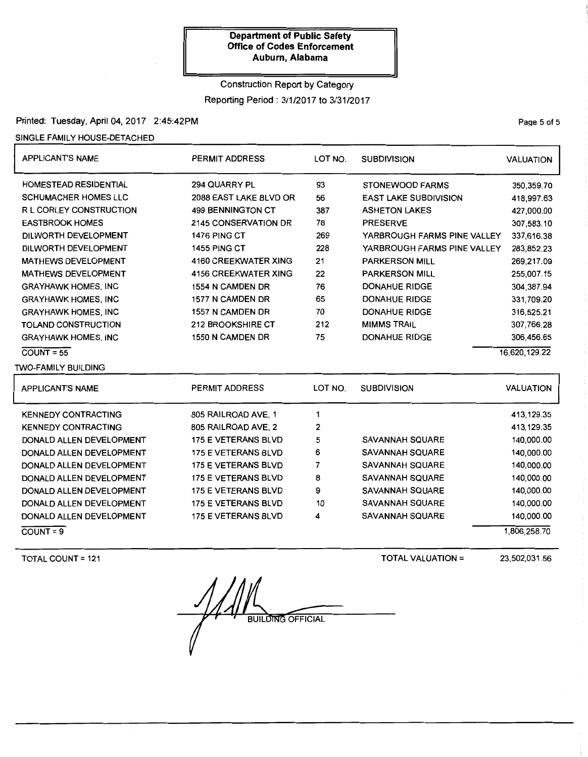### Construction Report by Category

Reporting Period: 3/1/2017 to 3/31/2017

Printed: Tuesday, April 04, 2017 2:45:42PM

SINGLE FAMILY HOUSE-DETACHED

| <b>APPLICANT'S NAME</b>        | <b>PERMIT ADDRESS</b>       | LOT NO.<br><b>SUBDIVISION</b> |                              | <b>VALUATION</b> |
|--------------------------------|-----------------------------|-------------------------------|------------------------------|------------------|
| <b>HOMESTEAD RESIDENTIAL</b>   | 294 QUARRY PL               | 93                            | <b>STONEWOOD FARMS</b>       | 350,359.70       |
| <b>SCHUMACHER HOMES LLC</b>    | 2088 EAST LAKE BLVD OR      | 56                            | <b>EAST LAKE SUBDIVISION</b> | 418,997.63       |
| <b>R L CORLEY CONSTRUCTION</b> | <b>499 BENNINGTON CT</b>    | 387                           | <b>ASHETON LAKES</b>         | 427,000.00       |
| <b>EASTBROOK HOMES</b>         | <b>2145 CONSERVATION DR</b> | 78                            | <b>PRESERVE</b>              | 307,583.10       |
| DILWORTH DEVELOPMENT           | 1476 PING CT                | 269                           | YARBROUGH FARMS PINE VALLEY  | 337,616.38       |
| DILWORTH DEVELOPMENT           | <b>1455 PING CT</b>         | 228                           | YARBROUGH FARMS PINE VALLEY  | 283,852.23       |
| <b>MATHEWS DEVELOPMENT</b>     | <b>4160 CREEKWATER XING</b> | 21                            | <b>PARKERSON MILL</b>        | 269,217.09       |
| <b>MATHEWS DEVELOPMENT</b>     | <b>4156 CREEKWATER XING</b> | 22                            | <b>PARKERSON MILL</b>        | 255,007.15       |
| <b>GRAYHAWK HOMES, INC</b>     | 1554 N CAMDEN DR            | 76                            | <b>DONAHUE RIDGE</b>         | 304,387.94       |
| <b>GRAYHAWK HOMES, INC</b>     | 1577 N CAMDEN DR            | 65<br><b>DONAHUE RIDGE</b>    |                              | 331,709.20       |
| <b>GRAYHAWK HOMES, INC</b>     | 1557 N CAMDEN DR            | 70<br><b>DONAHUE RIDGE</b>    |                              | 316,525.21       |
| TOLAND CONSTRUCTION            | 212 BROOKSHIRE CT           | 212                           | <b>MIMMS TRAIL</b>           | 307,766.28       |
| <b>GRAYHAWK HOMES, INC</b>     | 1550 N CAMDEN DR            | 75                            | <b>DONAHUE RIDGE</b>         | 306,456.65       |
| $COUNT = 55$                   |                             |                               |                              | 16,620,129.22    |
| TWO-FAMILY BUILDING            |                             |                               |                              |                  |
| <b>APPLICANT'S NAME</b>        | <b>PERMIT ADDRESS</b>       | LOT NO.                       | <b>SUBDIVISION</b>           | <b>VALUATION</b> |
| <b>KENNEDY CONTRACTING</b>     | 805 RAILROAD AVE, 1         | 1                             |                              | 413,129.35       |
| <b>KENNEDY CONTRACTING</b>     | 805 RAILROAD AVE, 2         | 2                             |                              | 413,129.35       |
| DONALD ALLEN DEVELOPMENT       | <b>175 E VETERANS BLVD</b>  | 5                             | <b>SAVANNAH SQUARE</b>       | 140,000.00       |
| DONALD ALLEN DEVELOPMENT       | <b>175 E VETERANS BLVD</b>  | 6                             | <b>SAVANNAH SQUARE</b>       | 140,000.00       |

DONALD ALLEN DEVELOPMENT DONALD ALLEN DEVELOPMENT DONALD ALLEN DEVELOPMENT DONALD ALLEN DEVELOPMENT DONALD ALLEN DEVELOPMENT

 $COUNT = 9$ 

TOTAL COUNT= 121

**BUILDING OFFICIAL** 

175 E VETERANS BLVD 175 E VETERANS BLVD 175 E VETERANS BLVD 175 E VETERANS BLVD 175 E VETERANS BLVD

TOTAL VALUATION=

SAVANNAH SQUARE SAVANNAH SQUARE SAVANNAH SQUARE SAVANNAH SQUARE SAVANNAH SQUARE

23,502,031.56

140,000.00 140,000.00 140,000.00 140,000.00 140,000.00 1,806,258.70

Page 5 of 5